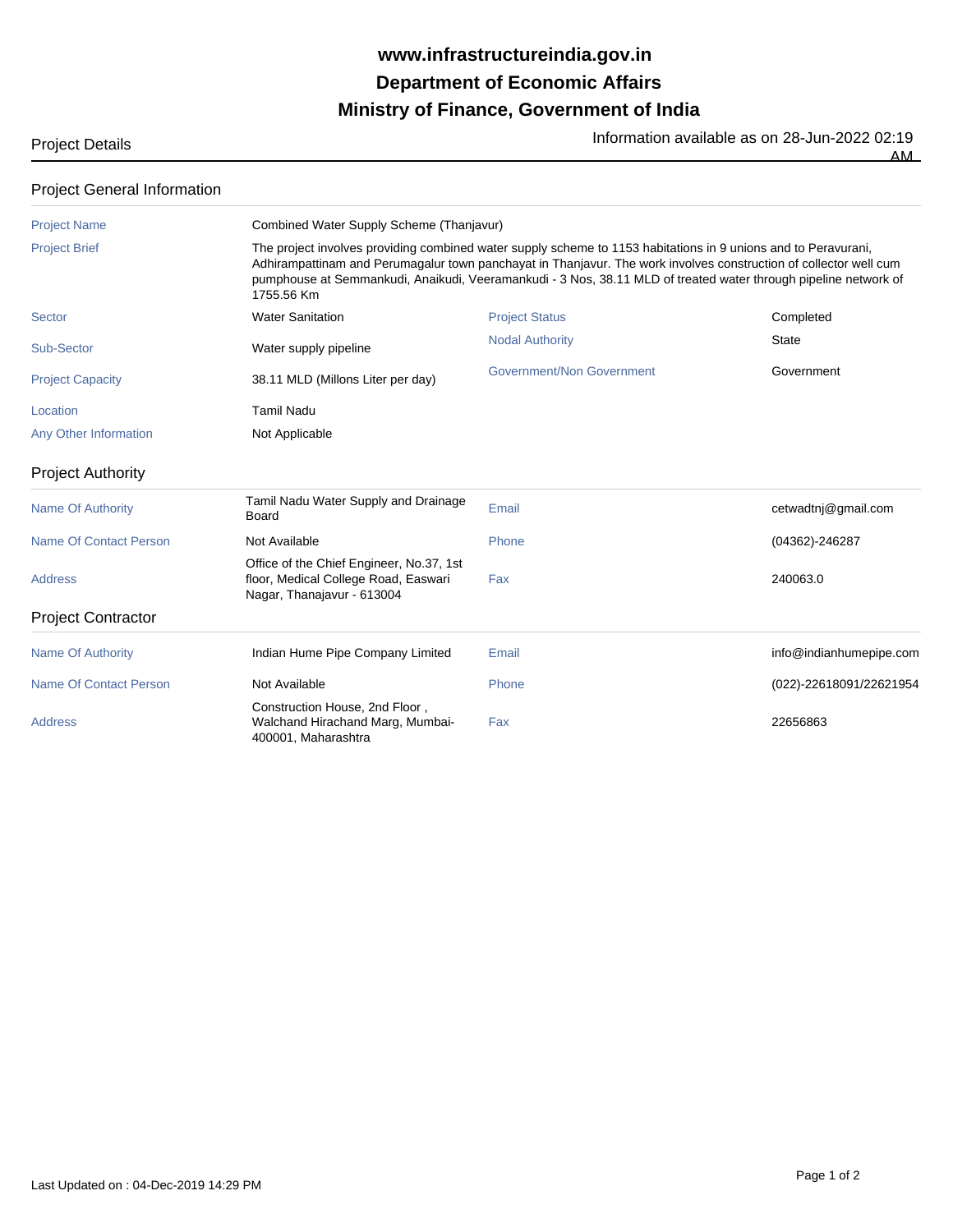## **Ministry of Finance, Government of India Department of Economic Affairs www.infrastructureindia.gov.in**

Project Details **Information available as on 28-Jun-2022 02:19**  $\overline{AM}$ 

| <b>Project General Information</b> |  |
|------------------------------------|--|
|------------------------------------|--|

| <b>Project Name</b>           |                                                                                                                | Combined Water Supply Scheme (Thanjavur)                                                                                                                                                                                                                                                                                                               |                         |  |  |
|-------------------------------|----------------------------------------------------------------------------------------------------------------|--------------------------------------------------------------------------------------------------------------------------------------------------------------------------------------------------------------------------------------------------------------------------------------------------------------------------------------------------------|-------------------------|--|--|
| <b>Project Brief</b>          | 1755.56 Km                                                                                                     | The project involves providing combined water supply scheme to 1153 habitations in 9 unions and to Peravurani,<br>Adhirampattinam and Perumagalur town panchayat in Thanjavur. The work involves construction of collector well cum<br>pumphouse at Semmankudi, Anaikudi, Veeramankudi - 3 Nos, 38.11 MLD of treated water through pipeline network of |                         |  |  |
| Sector                        | <b>Water Sanitation</b>                                                                                        | <b>Project Status</b>                                                                                                                                                                                                                                                                                                                                  | Completed               |  |  |
| Sub-Sector                    | Water supply pipeline                                                                                          | <b>Nodal Authority</b>                                                                                                                                                                                                                                                                                                                                 | <b>State</b>            |  |  |
| <b>Project Capacity</b>       | 38.11 MLD (Millons Liter per day)                                                                              | Government/Non Government                                                                                                                                                                                                                                                                                                                              | Government              |  |  |
| Location                      | <b>Tamil Nadu</b>                                                                                              |                                                                                                                                                                                                                                                                                                                                                        |                         |  |  |
| Any Other Information         | Not Applicable                                                                                                 |                                                                                                                                                                                                                                                                                                                                                        |                         |  |  |
| <b>Project Authority</b>      |                                                                                                                |                                                                                                                                                                                                                                                                                                                                                        |                         |  |  |
| <b>Name Of Authority</b>      | Tamil Nadu Water Supply and Drainage<br>Board                                                                  | Email                                                                                                                                                                                                                                                                                                                                                  | cetwadtnj@gmail.com     |  |  |
| Name Of Contact Person        | Not Available                                                                                                  | Phone                                                                                                                                                                                                                                                                                                                                                  | (04362)-246287          |  |  |
| <b>Address</b>                | Office of the Chief Engineer, No.37, 1st<br>floor, Medical College Road, Easwari<br>Nagar, Thanajavur - 613004 | Fax                                                                                                                                                                                                                                                                                                                                                    | 240063.0                |  |  |
| <b>Project Contractor</b>     |                                                                                                                |                                                                                                                                                                                                                                                                                                                                                        |                         |  |  |
| <b>Name Of Authority</b>      | Indian Hume Pipe Company Limited                                                                               | Email                                                                                                                                                                                                                                                                                                                                                  | info@indianhumepipe.com |  |  |
| <b>Name Of Contact Person</b> | Not Available                                                                                                  | Phone                                                                                                                                                                                                                                                                                                                                                  | (022)-22618091/22621954 |  |  |
| <b>Address</b>                | Construction House, 2nd Floor,<br>Walchand Hirachand Marg, Mumbai-<br>400001, Maharashtra                      | Fax                                                                                                                                                                                                                                                                                                                                                    | 22656863                |  |  |